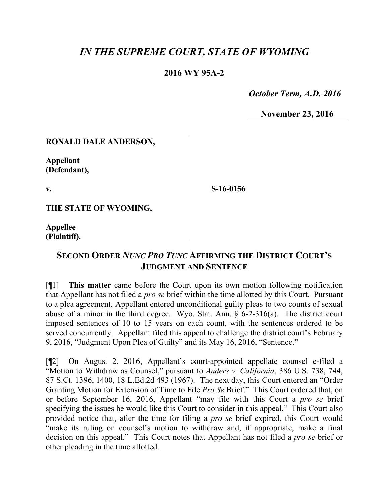# *IN THE SUPREME COURT, STATE OF WYOMING*

### **2016 WY 95A-2**

 *October Term, A.D. 2016*

**November 23, 2016**

### **RONALD DALE ANDERSON,**

**Appellant (Defendant),**

**v.**

**S-16-0156**

**THE STATE OF WYOMING,**

**Appellee (Plaintiff).**

## **SECOND ORDER** *NUNC PRO TUNC* **AFFIRMING THE DISTRICT COURT'S JUDGMENT AND SENTENCE**

[¶1] **This matter** came before the Court upon its own motion following notification that Appellant has not filed a *pro se* brief within the time allotted by this Court. Pursuant to a plea agreement, Appellant entered unconditional guilty pleas to two counts of sexual abuse of a minor in the third degree. Wyo. Stat. Ann. § 6-2-316(a). The district court imposed sentences of 10 to 15 years on each count, with the sentences ordered to be served concurrently. Appellant filed this appeal to challenge the district court's February 9, 2016, "Judgment Upon Plea of Guilty" and its May 16, 2016, "Sentence."

[¶2] On August 2, 2016, Appellant's court-appointed appellate counsel e-filed a "Motion to Withdraw as Counsel," pursuant to *Anders v. California*, 386 U.S. 738, 744, 87 S.Ct. 1396, 1400, 18 L.Ed.2d 493 (1967). The next day, this Court entered an "Order Granting Motion for Extension of Time to File *Pro Se* Brief." This Court ordered that, on or before September 16, 2016, Appellant "may file with this Court a *pro se* brief specifying the issues he would like this Court to consider in this appeal." This Court also provided notice that, after the time for filing a *pro se* brief expired, this Court would "make its ruling on counsel's motion to withdraw and, if appropriate, make a final decision on this appeal." This Court notes that Appellant has not filed a *pro se* brief or other pleading in the time allotted.